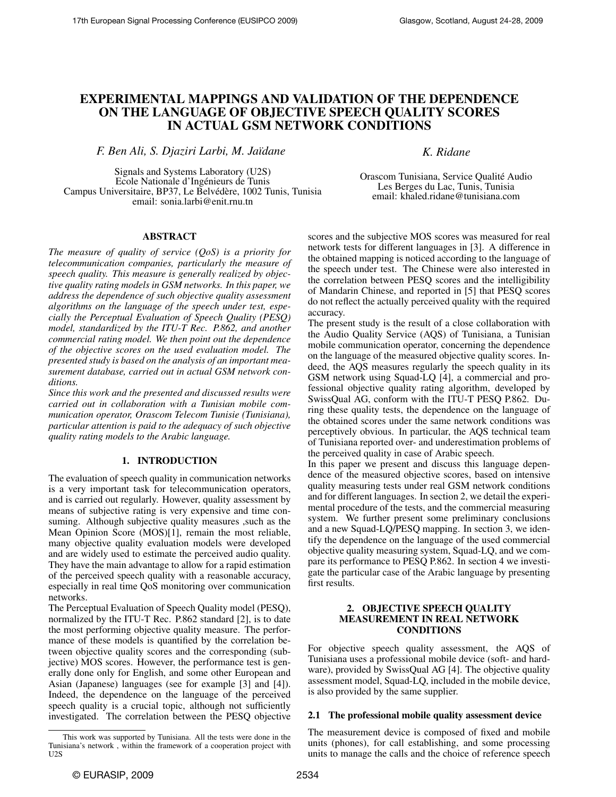# EXPERIMENTAL MAPPINGS AND VALIDATION OF THE DEPENDENCE ON THE LANGUAGE OF OBJECTIVE SPEECH QUALITY SCORES IN ACTUAL GSM NETWORK CONDITIONS

*F. Ben Ali, S. Djaziri Larbi, M. Ja¨ıdane K. Ridane*

Signals and Systems Laboratory (U2S) Ecole Nationale d'Ingenieurs de Tunis ´ Campus Universitaire, BP37, Le Belvédère, 1002 Tunis, Tunisia email: sonia.larbi@enit.rnu.tn

Orascom Tunisiana, Service Qualité Audio Les Berges du Lac, Tunis, Tunisia email: khaled.ridane@tunisiana.com

# ABSTRACT

*The measure of quality of service (QoS) is a priority for telecommunication companies, particularly the measure of speech quality. This measure is generally realized by objective quality rating models in GSM networks. In this paper, we address the dependence of such objective quality assessment algorithms on the language of the speech under test, especially the Perceptual Evaluation of Speech Quality (PESQ) model, standardized by the ITU-T Rec. P.862, and another commercial rating model. We then point out the dependence of the objective scores on the used evaluation model. The presented study is based on the analysis of an important measurement database, carried out in actual GSM network conditions.*

*Since this work and the presented and discussed results were carried out in collaboration with a Tunisian mobile communication operator, Orascom Telecom Tunisie (Tunisiana), particular attention is paid to the adequacy of such objective quality rating models to the Arabic language.*

#### 1. INTRODUCTION

The evaluation of speech quality in communication networks is a very important task for telecommunication operators, and is carried out regularly. However, quality assessment by means of subjective rating is very expensive and time consuming. Although subjective quality measures ,such as the Mean Opinion Score (MOS)[1], remain the most reliable, many objective quality evaluation models were developed and are widely used to estimate the perceived audio quality. They have the main advantage to allow for a rapid estimation of the perceived speech quality with a reasonable accuracy, especially in real time QoS monitoring over communication networks.

The Perceptual Evaluation of Speech Quality model (PESQ), normalized by the ITU-T Rec. P.862 standard [2], is to date the most performing objective quality measure. The performance of these models is quantified by the correlation between objective quality scores and the corresponding (subjective) MOS scores. However, the performance test is generally done only for English, and some other European and Asian (Japanese) languages (see for example [3] and [4]). Indeed, the dependence on the language of the perceived speech quality is a crucial topic, although not sufficiently investigated. The correlation between the PESQ objective

scores and the subjective MOS scores was measured for real network tests for different languages in [3]. A difference in the obtained mapping is noticed according to the language of the speech under test. The Chinese were also interested in the correlation between PESQ scores and the intelligibility of Mandarin Chinese, and reported in [5] that PESQ scores do not reflect the actually perceived quality with the required accuracy.

The present study is the result of a close collaboration with the Audio Quality Service (AQS) of Tunisiana, a Tunisian mobile communication operator, concerning the dependence on the language of the measured objective quality scores. Indeed, the AQS measures regularly the speech quality in its GSM network using Squad-LQ [4], a commercial and professional objective quality rating algorithm, developed by SwissQual AG, conform with the ITU-T PESQ P.862. During these quality tests, the dependence on the language of the obtained scores under the same network conditions was perceptively obvious. In particular, the AQS technical team of Tunisiana reported over- and underestimation problems of the perceived quality in case of Arabic speech.

In this paper we present and discuss this language dependence of the measured objective scores, based on intensive quality measuring tests under real GSM network conditions and for different languages. In section 2, we detail the experimental procedure of the tests, and the commercial measuring system. We further present some preliminary conclusions and a new Squad-LQ/PESQ mapping. In section 3, we identify the dependence on the language of the used commercial objective quality measuring system, Squad-LQ, and we compare its performance to PESQ P.862. In section 4 we investigate the particular case of the Arabic language by presenting first results.

## 2. OBJECTIVE SPEECH QUALITY MEASUREMENT IN REAL NETWORK **CONDITIONS**

For objective speech quality assessment, the AQS of Tunisiana uses a professional mobile device (soft- and hardware), provided by SwissQual AG [4]. The objective quality assessment model, Squad-LQ, included in the mobile device, is also provided by the same supplier.

# 2.1 The professional mobile quality assessment device

The measurement device is composed of fixed and mobile units (phones), for call establishing, and some processing units to manage the calls and the choice of reference speech

This work was supported by Tunisiana. All the tests were done in the Tunisiana's network , within the framework of a cooperation project with U2S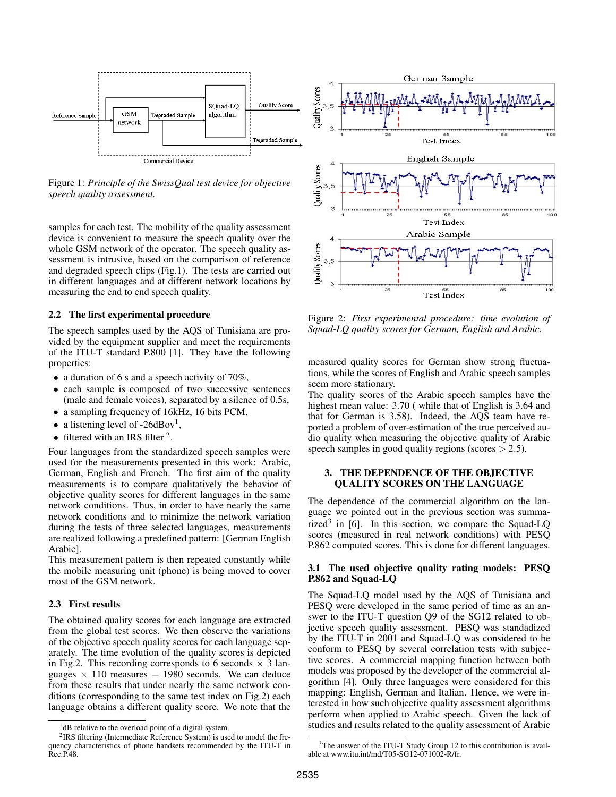

Figure 1: *Principle of the SwissQual test device for objective speech quality assessment.*

samples for each test. The mobility of the quality assessment device is convenient to measure the speech quality over the whole GSM network of the operator. The speech quality assessment is intrusive, based on the comparison of reference and degraded speech clips (Fig.1). The tests are carried out in different languages and at different network locations by measuring the end to end speech quality.

### 2.2 The first experimental procedure

The speech samples used by the AQS of Tunisiana are provided by the equipment supplier and meet the requirements of the ITU-T standard P.800 [1]. They have the following properties:

- a duration of 6 s and a speech activity of 70%,
- each sample is composed of two successive sentences (male and female voices), separated by a silence of 0.5s,
- a sampling frequency of 16kHz, 16 bits PCM,
- a listening level of -26dBov<sup>1</sup>,
- filtered with an IRS filter  $2$ .

Four languages from the standardized speech samples were used for the measurements presented in this work: Arabic, German, English and French. The first aim of the quality measurements is to compare qualitatively the behavior of objective quality scores for different languages in the same network conditions. Thus, in order to have nearly the same network conditions and to minimize the network variation during the tests of three selected languages, measurements are realized following a predefined pattern: [German English Arabic].

This measurement pattern is then repeated constantly while the mobile measuring unit (phone) is being moved to cover most of the GSM network.

# 2.3 First results

The obtained quality scores for each language are extracted from the global test scores. We then observe the variations of the objective speech quality scores for each language separately. The time evolution of the quality scores is depicted in Fig.2. This recording corresponds to 6 seconds  $\times$  3 languages  $\times$  110 measures = 1980 seconds. We can deduce from these results that under nearly the same network conditions (corresponding to the same test index on Fig.2) each language obtains a different quality score. We note that the



Figure 2: *First experimental procedure: time evolution of Squad-LQ quality scores for German, English and Arabic.*

measured quality scores for German show strong fluctuations, while the scores of English and Arabic speech samples seem more stationary.

The quality scores of the Arabic speech samples have the highest mean value: 3.70 (while that of English is 3.64 and that for German is 3.58). Indeed, the AQS team have reported a problem of over-estimation of the true perceived audio quality when measuring the objective quality of Arabic speech samples in good quality regions (scores  $> 2.5$ ).

## 3. THE DEPENDENCE OF THE OBJECTIVE QUALITY SCORES ON THE LANGUAGE

The dependence of the commercial algorithm on the language we pointed out in the previous section was summarized<sup>3</sup> in [6]. In this section, we compare the Squad-LQ scores (measured in real network conditions) with PESQ P.862 computed scores. This is done for different languages.

## 3.1 The used objective quality rating models: PESQ P.862 and Squad-LQ

The Squad-LQ model used by the AQS of Tunisiana and PESQ were developed in the same period of time as an answer to the ITU-T question Q9 of the SG12 related to objective speech quality assessment. PESQ was standadized by the ITU-T in 2001 and Squad-LQ was considered to be conform to PESQ by several correlation tests with subjective scores. A commercial mapping function between both models was proposed by the developer of the commercial algorithm [4]. Only three languages were considered for this mapping: English, German and Italian. Hence, we were interested in how such objective quality assessment algorithms perform when applied to Arabic speech. Given the lack of studies and results related to the quality assessment of Arabic

<sup>&</sup>lt;sup>1</sup>dB relative to the overload point of a digital system.

<sup>&</sup>lt;sup>2</sup>IRS filtering (Intermediate Reference System) is used to model the frequency characteristics of phone handsets recommended by the ITU-T in Rec.P.48.

<sup>&</sup>lt;sup>3</sup>The answer of the ITU-T Study Group 12 to this contribution is available at www.itu.int/md/T05-SG12-071002-R/fr.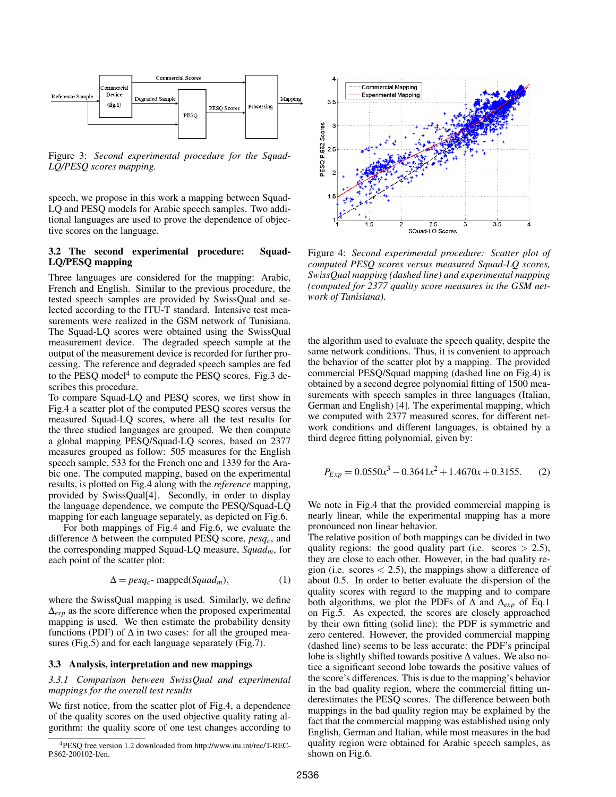

Figure 3: *Second experimental procedure for the Squad-LQ/PESQ scores mapping.*

speech, we propose in this work a mapping between Squad-LQ and PESQ models for Arabic speech samples. Two additional languages are used to prove the dependence of objective scores on the language.

## 3.2 The second experimental procedure: Squad-LQ/PESQ mapping

Three languages are considered for the mapping: Arabic, French and English. Similar to the previous procedure, the tested speech samples are provided by SwissQual and selected according to the ITU-T standard. Intensive test measurements were realized in the GSM network of Tunisiana. The Squad-LQ scores were obtained using the SwissQual measurement device. The degraded speech sample at the output of the measurement device is recorded for further processing. The reference and degraded speech samples are fed to the PESQ model<sup>4</sup> to compute the PESQ scores. Fig.3 describes this procedure.

To compare Squad-LQ and PESQ scores, we first show in Fig.4 a scatter plot of the computed PESQ scores versus the measured Squad-LQ scores, where all the test results for the three studied languages are grouped. We then compute a global mapping PESQ/Squad-LQ scores, based on 2377 measures grouped as follow: 505 measures for the English speech sample, 533 for the French one and 1339 for the Arabic one. The computed mapping, based on the experimental results, is plotted on Fig.4 along with the *reference* mapping, provided by SwissQual[4]. Secondly, in order to display the language dependence, we compute the PESQ/Squad-LQ mapping for each language separately, as depicted on Fig.6.

For both mappings of Fig.4 and Fig.6, we evaluate the difference ∆ between the computed PESQ score, *pesqc*, and the corresponding mapped Squad-LQ measure, *Squadm*, for each point of the scatter plot:

$$
\Delta = p \exp_c \text{-} \text{mapped}(Squad_m), \tag{1}
$$

where the SwissQual mapping is used. Similarly, we define ∆*exp* as the score difference when the proposed experimental mapping is used. We then estimate the probability density functions (PDF) of  $\Delta$  in two cases: for all the grouped measures (Fig.5) and for each language separately (Fig.7).

#### 3.3 Analysis, interpretation and new mappings

*3.3.1 Comparison between SwissQual and experimental mappings for the overall test results*

We first notice, from the scatter plot of Fig.4, a dependence of the quality scores on the used objective quality rating algorithm: the quality score of one test changes according to



Figure 4: *Second experimental procedure: Scatter plot of computed PESQ scores versus measured Squad-LQ scores, SwissQual mapping (dashed line) and experimental mapping (computed for 2377 quality score measures in the GSM network of Tunisiana).*

the algorithm used to evaluate the speech quality, despite the same network conditions. Thus, it is convenient to approach the behavior of the scatter plot by a mapping. The provided commercial PESQ/Squad mapping (dashed line on Fig.4) is obtained by a second degree polynomial fitting of 1500 measurements with speech samples in three languages (Italian, German and English) [4]. The experimental mapping, which we computed with 2377 measured scores, for different network conditions and different languages, is obtained by a third degree fitting polynomial, given by:

$$
P_{Exp} = 0.0550x^3 - 0.3641x^2 + 1.4670x + 0.3155.
$$
 (2)

We note in Fig.4 that the provided commercial mapping is nearly linear, while the experimental mapping has a more pronounced non linear behavior.

The relative position of both mappings can be divided in two quality regions: the good quality part (i.e. scores  $> 2.5$ ), they are close to each other. However, in the bad quality region (i.e. scores  $< 2.5$ ), the mappings show a difference of about 0.5. In order to better evaluate the dispersion of the quality scores with regard to the mapping and to compare both algorithms, we plot the PDFs of ∆ and ∆*exp* of Eq.1 on Fig.5. As expected, the scores are closely approached by their own fitting (solid line): the PDF is symmetric and zero centered. However, the provided commercial mapping (dashed line) seems to be less accurate: the PDF's principal lobe is slightly shifted towards positive ∆ values. We also notice a significant second lobe towards the positive values of the score's differences. This is due to the mapping's behavior in the bad quality region, where the commercial fitting underestimates the PESQ scores. The difference between both mappings in the bad quality region may be explained by the fact that the commercial mapping was established using only English, German and Italian, while most measures in the bad quality region were obtained for Arabic speech samples, as shown on Fig.6.

<sup>4</sup>PESQ free version 1.2 downloaded from http://www.itu.int/rec/T-REC-P.862-200102-I/en.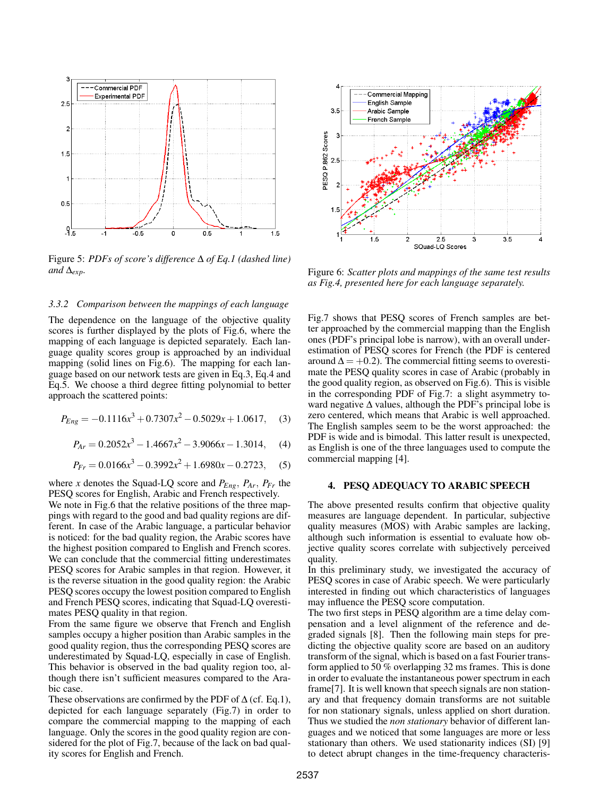

Figure 5: *PDFs of score's difference* ∆ *of Eq.1 (dashed line) and*  $\Delta_{exp}$ *.* 

#### *3.3.2 Comparison between the mappings of each language*

The dependence on the language of the objective quality scores is further displayed by the plots of Fig.6, where the mapping of each language is depicted separately. Each language quality scores group is approached by an individual mapping (solid lines on Fig.6). The mapping for each language based on our network tests are given in Eq.3, Eq.4 and Eq.5. We choose a third degree fitting polynomial to better approach the scattered points:

$$
P_{Eng} = -0.1116x^3 + 0.7307x^2 - 0.5029x + 1.0617, \quad (3)
$$

$$
P_{Ar} = 0.2052x^3 - 1.4667x^2 - 3.9066x - 1.3014, \quad (4)
$$

$$
P_{Fr} = 0.0166x^3 - 0.3992x^2 + 1.6980x - 0.2723,
$$
 (5)

where *x* denotes the Squad-LQ score and  $P_{Eng}$ ,  $P_{Ar}$ ,  $P_{Fr}$  the PESQ scores for English, Arabic and French respectively.

We note in Fig.6 that the relative positions of the three mappings with regard to the good and bad quality regions are different. In case of the Arabic language, a particular behavior is noticed: for the bad quality region, the Arabic scores have the highest position compared to English and French scores. We can conclude that the commercial fitting underestimates PESQ scores for Arabic samples in that region. However, it is the reverse situation in the good quality region: the Arabic PESQ scores occupy the lowest position compared to English and French PESQ scores, indicating that Squad-LQ overestimates PESQ quality in that region.

From the same figure we observe that French and English samples occupy a higher position than Arabic samples in the good quality region, thus the corresponding PESQ scores are underestimated by Squad-LQ, especially in case of English. This behavior is observed in the bad quality region too, although there isn't sufficient measures compared to the Arabic case.

These observations are confirmed by the PDF of  $\Delta$  (cf. Eq.1), depicted for each language separately (Fig.7) in order to compare the commercial mapping to the mapping of each language. Only the scores in the good quality region are considered for the plot of Fig.7, because of the lack on bad quality scores for English and French.



Figure 6: *Scatter plots and mappings of the same test results as Fig.4, presented here for each language separately.*

Fig.7 shows that PESQ scores of French samples are better approached by the commercial mapping than the English ones (PDF's principal lobe is narrow), with an overall underestimation of PESQ scores for French (the PDF is centered around  $\Delta = +0.2$ ). The commercial fitting seems to overestimate the PESQ quality scores in case of Arabic (probably in the good quality region, as observed on Fig.6). This is visible in the corresponding PDF of Fig.7: a slight asymmetry toward negative  $\Delta$  values, although the PDF's principal lobe is zero centered, which means that Arabic is well approached. The English samples seem to be the worst approached: the PDF is wide and is bimodal. This latter result is unexpected, as English is one of the three languages used to compute the commercial mapping [4].

#### 4. PESQ ADEQUACY TO ARABIC SPEECH

The above presented results confirm that objective quality measures are language dependent. In particular, subjective quality measures (MOS) with Arabic samples are lacking, although such information is essential to evaluate how objective quality scores correlate with subjectively perceived quality.

In this preliminary study, we investigated the accuracy of PESQ scores in case of Arabic speech. We were particularly interested in finding out which characteristics of languages may influence the PESQ score computation.

The two first steps in PESQ algorithm are a time delay compensation and a level alignment of the reference and degraded signals [8]. Then the following main steps for predicting the objective quality score are based on an auditory transform of the signal, which is based on a fast Fourier transform applied to 50 % overlapping 32 ms frames. This is done in order to evaluate the instantaneous power spectrum in each frame[7]. It is well known that speech signals are non stationary and that frequency domain transforms are not suitable for non stationary signals, unless applied on short duration. Thus we studied the *non stationary* behavior of different languages and we noticed that some languages are more or less stationary than others. We used stationarity indices (SI) [9] to detect abrupt changes in the time-frequency characteris-